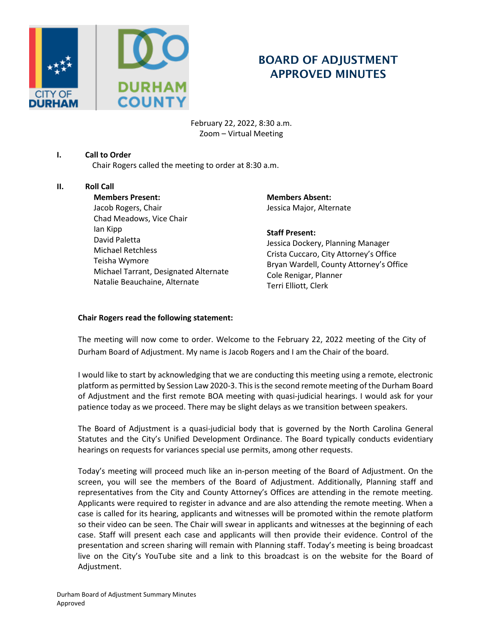

# BOARD OF ADJUSTMENT APPROVED MINUTES

February 22, 2022, 8:30 a.m. Zoom – Virtual Meeting

# **I. Call to Order**

Chair Rogers called the meeting to order at 8:30 a.m.

# **II. Roll Call**

**Members Present:**  Jacob Rogers, Chair Chad Meadows, Vice Chair Ian Kipp David Paletta Michael Retchless Teisha Wymore Michael Tarrant, Designated Alternate Natalie Beauchaine, Alternate

**Members Absent:**  Jessica Major, Alternate

#### **Staff Present:**

Jessica Dockery, Planning Manager Crista Cuccaro, City Attorney's Office Bryan Wardell, County Attorney's Office Cole Renigar, Planner Terri Elliott, Clerk

#### **Chair Rogers read the following statement:**

The meeting will now come to order. Welcome to the February 22, 2022 meeting of the City of Durham Board of Adjustment. My name is Jacob Rogers and I am the Chair of the board.

I would like to start by acknowledging that we are conducting this meeting using a remote, electronic platform as permitted by Session Law 2020-3. This is the second remote meeting of the Durham Board of Adjustment and the first remote BOA meeting with quasi-judicial hearings. I would ask for your patience today as we proceed. There may be slight delays as we transition between speakers.

The Board of Adjustment is a quasi-judicial body that is governed by the North Carolina General Statutes and the City's Unified Development Ordinance. The Board typically conducts evidentiary hearings on requests for variances special use permits, among other requests.

Today's meeting will proceed much like an in-person meeting of the Board of Adjustment. On the screen, you will see the members of the Board of Adjustment. Additionally, Planning staff and representatives from the City and County Attorney's Offices are attending in the remote meeting. Applicants were required to register in advance and are also attending the remote meeting. When a case is called for its hearing, applicants and witnesses will be promoted within the remote platform so their video can be seen. The Chair will swear in applicants and witnesses at the beginning of each case. Staff will present each case and applicants will then provide their evidence. Control of the presentation and screen sharing will remain with Planning staff. Today's meeting is being broadcast live on the City's YouTube site and a link to this broadcast is on the website for the Board of Adjustment.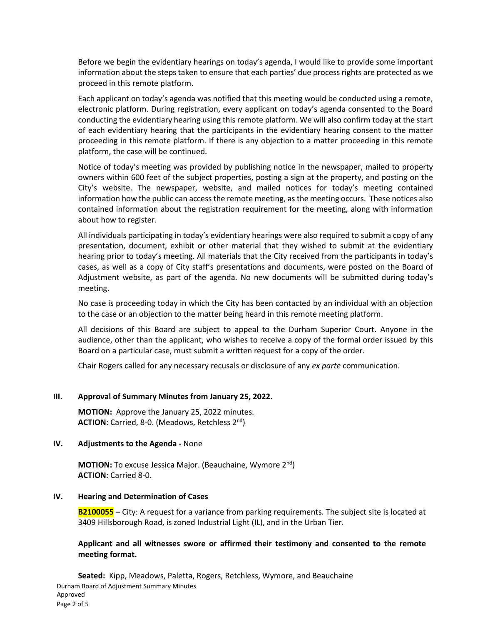Before we begin the evidentiary hearings on today's agenda, I would like to provide some important information about the steps taken to ensure that each parties' due process rights are protected as we proceed in this remote platform.

Each applicant on today's agenda was notified that this meeting would be conducted using a remote, electronic platform. During registration, every applicant on today's agenda consented to the Board conducting the evidentiary hearing using this remote platform. We will also confirm today at the start of each evidentiary hearing that the participants in the evidentiary hearing consent to the matter proceeding in this remote platform. If there is any objection to a matter proceeding in this remote platform, the case will be continued.

Notice of today's meeting was provided by publishing notice in the newspaper, mailed to property owners within 600 feet of the subject properties, posting a sign at the property, and posting on the City's website. The newspaper, website, and mailed notices for today's meeting contained information how the public can access the remote meeting, as the meeting occurs. These notices also contained information about the registration requirement for the meeting, along with information about how to register.

All individuals participating in today's evidentiary hearings were also required to submit a copy of any presentation, document, exhibit or other material that they wished to submit at the evidentiary hearing prior to today's meeting. All materials that the City received from the participants in today's cases, as well as a copy of City staff's presentations and documents, were posted on the Board of Adjustment website, as part of the agenda. No new documents will be submitted during today's meeting.

No case is proceeding today in which the City has been contacted by an individual with an objection to the case or an objection to the matter being heard in this remote meeting platform.

All decisions of this Board are subject to appeal to the Durham Superior Court. Anyone in the audience, other than the applicant, who wishes to receive a copy of the formal order issued by this Board on a particular case, must submit a written request for a copy of the order.

Chair Rogers called for any necessary recusals or disclosure of any *ex parte* communication.

#### **III. Approval of Summary Minutes from January 25, 2022.**

**MOTION:** Approve the January 25, 2022 minutes. **ACTION**: Carried, 8-0. (Meadows, Retchless 2nd)

#### **IV. Adjustments to the Agenda -** None

**MOTION:** To excuse Jessica Major. (Beauchaine, Wymore 2<sup>nd</sup>) **ACTION**: Carried 8-0.

### **IV. Hearing and Determination of Cases**

**B2100055 –** City: A request for a variance from parking requirements. The subject site is located at 3409 Hillsborough Road, is zoned Industrial Light (IL), and in the Urban Tier.

#### **Applicant and all witnesses swore or affirmed their testimony and consented to the remote meeting format.**

Durham Board of Adjustment Summary Minutes Approved Page 2 of 5 **Seated:** Kipp, Meadows, Paletta, Rogers, Retchless, Wymore, and Beauchaine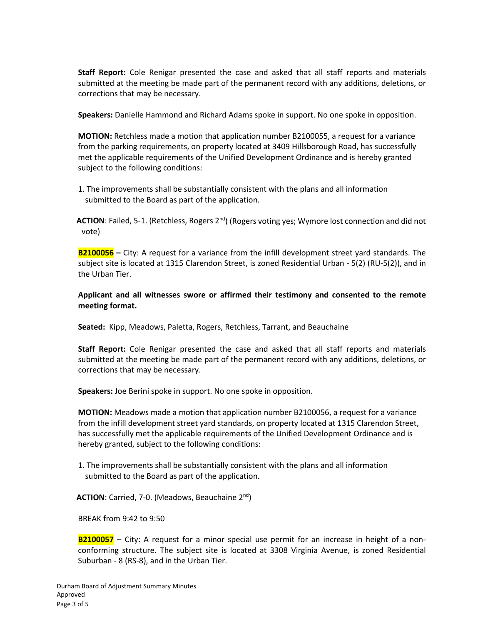**Staff Report:** Cole Renigar presented the case and asked that all staff reports and materials submitted at the meeting be made part of the permanent record with any additions, deletions, or corrections that may be necessary.

**Speakers:** Danielle Hammond and Richard Adams spoke in support. No one spoke in opposition.

**MOTION:** Retchless made a motion that application number B2100055, a request for a variance from the parking requirements, on property located at 3409 Hillsborough Road, has successfully met the applicable requirements of the Unified Development Ordinance and is hereby granted subject to the following conditions:

1. The improvements shall be substantially consistent with the plans and all information submitted to the Board as part of the application.

ACTION: Failed, 5-1. (Retchless, Rogers 2<sup>nd</sup>) (Rogers voting yes; Wymore lost connection and did not vote)

**B2100056 –** City: A request for a variance from the infill development street yard standards. The subject site is located at 1315 Clarendon Street, is zoned Residential Urban - 5(2) (RU-5(2)), and in the Urban Tier.

**Applicant and all witnesses swore or affirmed their testimony and consented to the remote meeting format.**

**Seated:** Kipp, Meadows, Paletta, Rogers, Retchless, Tarrant, and Beauchaine

**Staff Report:** Cole Renigar presented the case and asked that all staff reports and materials submitted at the meeting be made part of the permanent record with any additions, deletions, or corrections that may be necessary.

**Speakers:** Joe Berini spoke in support. No one spoke in opposition.

**MOTION:** Meadows made a motion that application number B2100056, a request for a variance from the infill development street yard standards, on property located at 1315 Clarendon Street, has successfully met the applicable requirements of the Unified Development Ordinance and is hereby granted, subject to the following conditions:

1. The improvements shall be substantially consistent with the plans and all information submitted to the Board as part of the application.

**ACTION**: Carried, 7-0. (Meadows, Beauchaine 2nd)

BREAK from 9:42 to 9:50

**B2100057** – City: A request for a minor special use permit for an increase in height of a nonconforming structure. The subject site is located at 3308 Virginia Avenue, is zoned Residential Suburban - 8 (RS-8), and in the Urban Tier.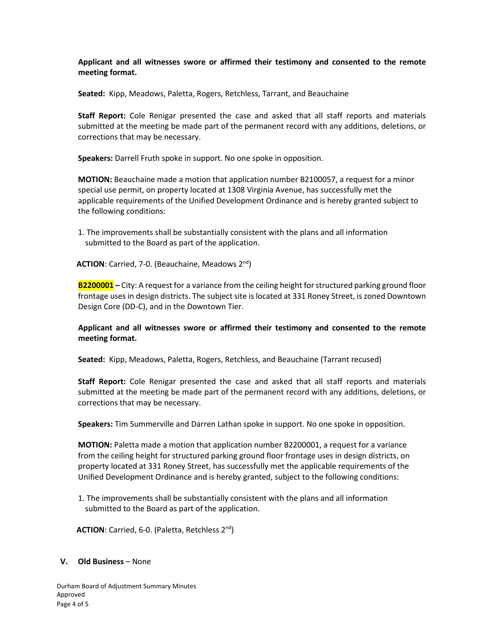# **Applicant and all witnesses swore or affirmed their testimony and consented to the remote meeting format.**

**Seated:** Kipp, Meadows, Paletta, Rogers, Retchless, Tarrant, and Beauchaine

**Staff Report:** Cole Renigar presented the case and asked that all staff reports and materials submitted at the meeting be made part of the permanent record with any additions, deletions, or corrections that may be necessary.

**Speakers:** Darrell Fruth spoke in support. No one spoke in opposition.

**MOTION:** Beauchaine made a motion that application number B2100057, a request for a minor special use permit, on property located at 1308 Virginia Avenue, has successfully met the applicable requirements of the Unified Development Ordinance and is hereby granted subject to the following conditions:

1. The improvements shall be substantially consistent with the plans and all information submitted to the Board as part of the application.

ACTION: Carried, 7-0. (Beauchaine, Meadows 2<sup>nd</sup>)

**B2200001 –** City: A request for a variance from the ceiling height for structured parking ground floor frontage uses in design districts. The subject site is located at 331 Roney Street, is zoned Downtown Design Core (DD-C), and in the Downtown Tier.

# **Applicant and all witnesses swore or affirmed their testimony and consented to the remote meeting format.**

**Seated:** Kipp, Meadows, Paletta, Rogers, Retchless, and Beauchaine (Tarrant recused)

**Staff Report:** Cole Renigar presented the case and asked that all staff reports and materials submitted at the meeting be made part of the permanent record with any additions, deletions, or corrections that may be necessary.

**Speakers:** Tim Summerville and Darren Lathan spoke in support. No one spoke in opposition.

**MOTION:** Paletta made a motion that application number B2200001, a request for a variance from the ceiling height for structured parking ground floor frontage uses in design districts, on property located at 331 Roney Street, has successfully met the applicable requirements of the Unified Development Ordinance and is hereby granted, subject to the following conditions:

1. The improvements shall be substantially consistent with the plans and all information submitted to the Board as part of the application.

**ACTION**: Carried, 6-0. (Paletta, Retchless 2nd)

#### **V. Old Business** – None